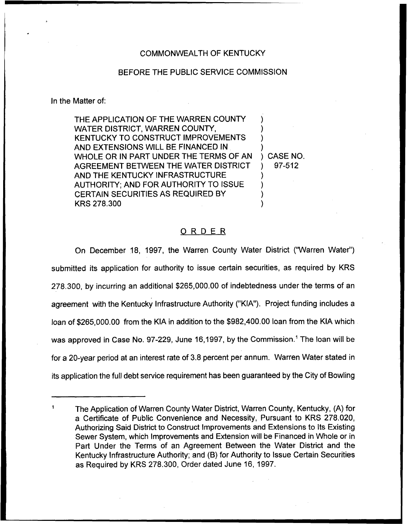## COMMONWEALTH OF KENTUCKY

## BEFORE THE PUBLIC SERVICE COMMISSION

In the Matter of:

THE APPLICATION OF THE WARREN COUNTY WATER DISTRICT, WARREN COUNTY, KENTUCKY TO CONSTRUCT IMPROVEMENTS AND EXTENSIONS WILL BE FINANCED IN WHOLE OR IN PART UNDER THE TERMS OF AN AGREEMENT BETWEEN THE WATER DISTRICT AND THE KENTUCKY INFRASTRUCTURE AUTHORITY; AND FOR AUTHORITY TO ISSUE CERTAIN SECURITIES AS REQUIRED BY KRS 278.300 ) ) ) ) ) CASE NO. ) 97-512 ) ) ) )

## ORDER

On December 18, 1997, the Warren County Water District ("Warren Water") submitted its application for authority to issue certain securities, as required by KRS 278.300, by incurring an additional \$265,000.00 of indebtedness under the terms of an agreement with the Kentucky Infrastructure Authority ("KIA"). Project funding includes a loan of \$265,000.00 from the KIA in addition to the \$982,400.00 loan from the KIA which was approved in Case No. 97-229, June 16,1997, by the Commission.<sup>1</sup> The loan will be for a 20-year period at an interest rate of 3.8 percent per annum. Warren Water stated in its application the full debt service requirement has been guaranteed by the City of Bowling

The Application of Warren County Water District, Warren County, Kentucky, (A) for a Certificate of Public Convenience and Necessity, Pursuant to KRS 278.020, Authorizing Said District to Construct Improvements and Extensions to lts Existing Sewer System, which Improvements and Extension will be Financed in Whole or in Part Under the Terms of an Agreement Between the Water District and the Kentucky Infrastructure Authority; and (B) for Authority to Issue Certain Securities as Required by KRS 278.300, Order dated June 16, 1997.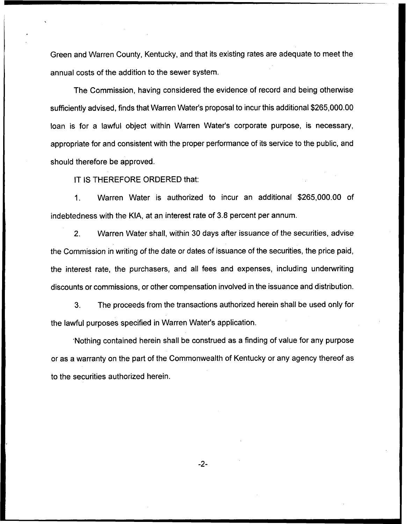Green and Warren County, Kentucky, and that its existing rates are adequate to meet the annual costs of the addition to the sewer system.

The Commission, having considered the evidence of record and being otherwise sufficiently advised, finds that Warren Water's proposal to incur this additional \$265,000.00 loan is for a lawful object within Warren Water's corporate purpose, is necessary, appropriate for and consistent with the proper performance of its service to the public, and should therefore be approved.

IT IS THEREFORE ORDERED that:

Warren Water is authorized to incur an additional \$265,000.00 of  $1<sub>1</sub>$ indebtedness with the KIA, at an interest rate of 3.8 percent per annum.

2. Warren Water shall, within 30 days after issuance of the securities, advise the Commission in writing of the date or dates of issuance of the securities, the price paid, the interest rate, the purchasers, and all fees and expenses, including underwriting discounts or commissions, or other compensation involved in the issuance and distribution.

3. The proceeds from the transactions authorized herein shall be used only for the lawful purposes specified in Warren Water's application.

Nothing contained herein shall be construed as a finding of value for any purpose or as a warranty on the part of the Commonwealth of Kentucky or any agency thereof as to the securities authorized herein.

 $-2-$